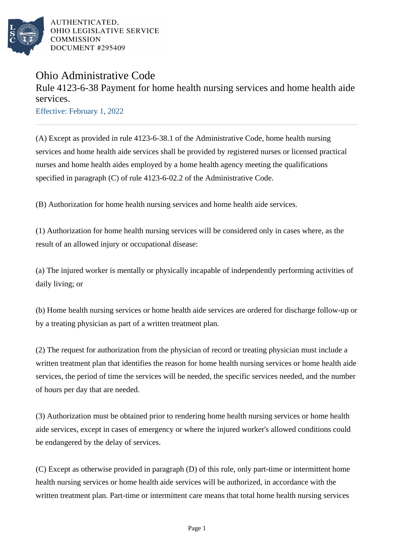

AUTHENTICATED, OHIO LEGISLATIVE SERVICE **COMMISSION** DOCUMENT #295409

## Ohio Administrative Code

Rule 4123-6-38 Payment for home health nursing services and home health aide services.

Effective: February 1, 2022

(A) Except as provided in rule 4123-6-38.1 of the Administrative Code, home health nursing services and home health aide services shall be provided by registered nurses or licensed practical nurses and home health aides employed by a home health agency meeting the qualifications specified in paragraph (C) of rule 4123-6-02.2 of the Administrative Code.

(B) Authorization for home health nursing services and home health aide services.

(1) Authorization for home health nursing services will be considered only in cases where, as the result of an allowed injury or occupational disease:

(a) The injured worker is mentally or physically incapable of independently performing activities of daily living; or

(b) Home health nursing services or home health aide services are ordered for discharge follow-up or by a treating physician as part of a written treatment plan.

(2) The request for authorization from the physician of record or treating physician must include a written treatment plan that identifies the reason for home health nursing services or home health aide services, the period of time the services will be needed, the specific services needed, and the number of hours per day that are needed.

(3) Authorization must be obtained prior to rendering home health nursing services or home health aide services, except in cases of emergency or where the injured worker's allowed conditions could be endangered by the delay of services.

(C) Except as otherwise provided in paragraph (D) of this rule, only part-time or intermittent home health nursing services or home health aide services will be authorized, in accordance with the written treatment plan. Part-time or intermittent care means that total home health nursing services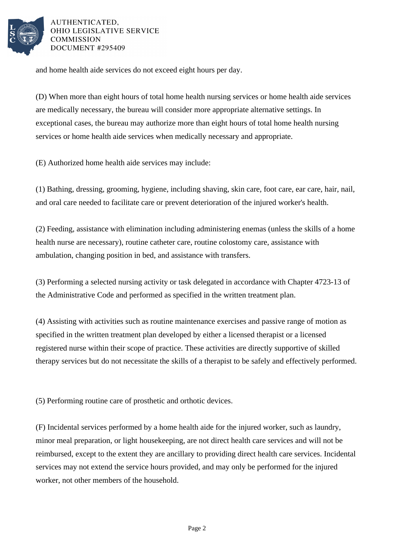

AUTHENTICATED. OHIO LEGISLATIVE SERVICE COMMISSION DOCUMENT #295409

and home health aide services do not exceed eight hours per day.

(D) When more than eight hours of total home health nursing services or home health aide services are medically necessary, the bureau will consider more appropriate alternative settings. In exceptional cases, the bureau may authorize more than eight hours of total home health nursing services or home health aide services when medically necessary and appropriate.

(E) Authorized home health aide services may include:

(1) Bathing, dressing, grooming, hygiene, including shaving, skin care, foot care, ear care, hair, nail, and oral care needed to facilitate care or prevent deterioration of the injured worker's health.

(2) Feeding, assistance with elimination including administering enemas (unless the skills of a home health nurse are necessary), routine catheter care, routine colostomy care, assistance with ambulation, changing position in bed, and assistance with transfers.

(3) Performing a selected nursing activity or task delegated in accordance with Chapter 4723-13 of the Administrative Code and performed as specified in the written treatment plan.

(4) Assisting with activities such as routine maintenance exercises and passive range of motion as specified in the written treatment plan developed by either a licensed therapist or a licensed registered nurse within their scope of practice. These activities are directly supportive of skilled therapy services but do not necessitate the skills of a therapist to be safely and effectively performed.

(5) Performing routine care of prosthetic and orthotic devices.

(F) Incidental services performed by a home health aide for the injured worker, such as laundry, minor meal preparation, or light housekeeping, are not direct health care services and will not be reimbursed, except to the extent they are ancillary to providing direct health care services. Incidental services may not extend the service hours provided, and may only be performed for the injured worker, not other members of the household.